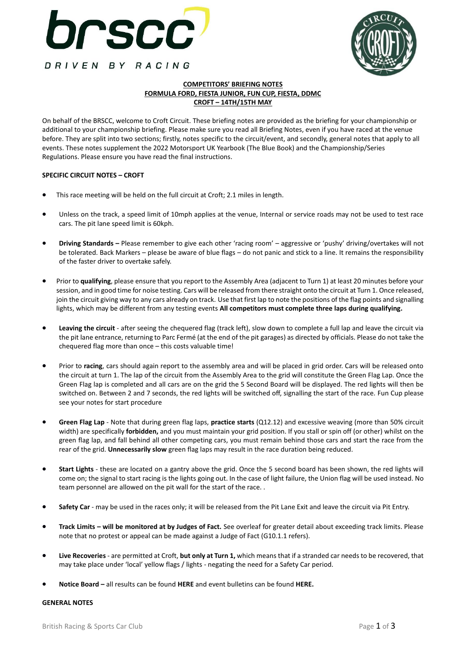



### **COMPETITORS' BRIEFING NOTES FORMULA FORD, FIESTA JUNIOR, FUN CUP, FIESTA, DDMC CROFT – 14TH/15TH MAY**

On behalf of the BRSCC, welcome to Croft Circuit. These briefing notes are provided as the briefing for your championship or additional to your championship briefing. Please make sure you read all Briefing Notes, even if you have raced at the venue before. They are split into two sections; firstly, notes specific to the circuit/event, and secondly, general notes that apply to all events. These notes supplement the 2022 Motorsport UK Yearbook (The Blue Book) and the Championship/Series Regulations. Please ensure you have read the final instructions.

#### **SPECIFIC CIRCUIT NOTES – CROFT**

- This race meeting will be held on the full circuit at Croft; 2.1 miles in length.
- Unless on the track, a speed limit of 10mph applies at the venue, Internal or service roads may not be used to test race cars. The pit lane speed limit is 60kph.
- **Driving Standards –** Please remember to give each other 'racing room' aggressive or 'pushy' driving/overtakes will not be tolerated. Back Markers – please be aware of blue flags – do not panic and stick to a line. It remains the responsibility of the faster driver to overtake safely.
- Prior to **qualifying**, please ensure that you report to the Assembly Area (adjacent to Turn 1) at least 20 minutes before your session, and in good time for noise testing. Cars will be released from there straight onto the circuit at Turn 1. Once released, join the circuit giving way to any cars already on track. Use that first lap to note the positions of the flag points and signalling lights, which may be different from any testing events **All competitors must complete three laps during qualifying.**
- **Leaving the circuit**  after seeing the chequered flag (track left), slow down to complete a full lap and leave the circuit via the pit lane entrance, returning to Parc Fermé (at the end of the pit garages) as directed by officials. Please do not take the chequered flag more than once – this costs valuable time!
- Prior to **racing**, cars should again report to the assembly area and will be placed in grid order. Cars will be released onto the circuit at turn 1. The lap of the circuit from the Assembly Area to the grid will constitute the Green Flag Lap. Once the Green Flag lap is completed and all cars are on the grid the 5 Second Board will be displayed. The red lights will then be switched on. Between 2 and 7 seconds, the red lights will be switched off, signalling the start of the race. Fun Cup please see your notes for start procedure
- **Green Flag Lap** Note that during green flag laps, **practice starts** (Q12.12) and excessive weaving (more than 50% circuit width) are specifically **forbidden,** and you must maintain your grid position. If you stall or spin off (or other) whilst on the green flag lap, and fall behind all other competing cars, you must remain behind those cars and start the race from the rear of the grid. **Unnecessarily slow** green flag laps may result in the race duration being reduced.
- **Start Lights** these are located on a gantry above the grid. Once the 5 second board has been shown, the red lights will come on; the signal to start racing is the lights going out. In the case of light failure, the Union flag will be used instead. No team personnel are allowed on the pit wall for the start of the race. .
- **Safety Car** may be used in the races only; it will be released from the Pit Lane Exit and leave the circuit via Pit Entry.
- **Track Limits – will be monitored at by Judges of Fact.** See overleaf for greater detail about exceeding track limits. Please note that no protest or appeal can be made against a Judge of Fact (G10.1.1 refers).
- **Live Recoveries**  are permitted at Croft, **but only at Turn 1,** which means that if a stranded car needs to be recovered, that may take place under 'local' yellow flags / lights - negating the need for a Safety Car period.
- **Notice Board –** all results can be found **[HERE](https://www.tsl-timing.com/event/211931)** and event bulletins can be found **[HERE.](https://brscc.co.uk/noticeboard/)**

#### **GENERAL NOTES**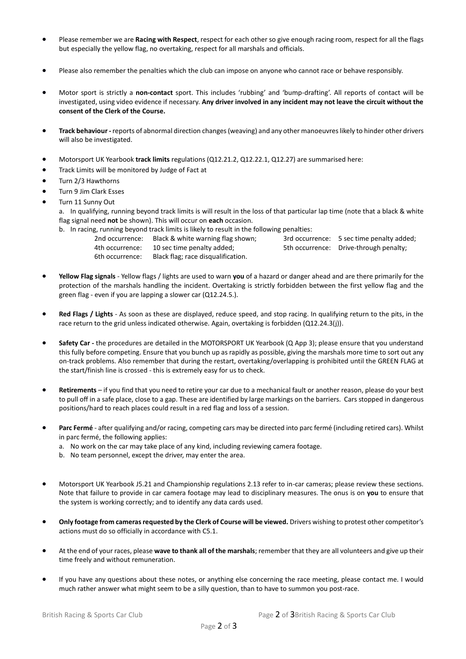- Please remember we are **Racing with Respect**, respect for each other so give enough racing room, respect for all the flags but especially the yellow flag, no overtaking, respect for all marshals and officials.
- Please also remember the penalties which the club can impose on anyone who cannot race or behave responsibly.
- Motor sport is strictly a **non-contact** sport. This includes 'rubbing' and 'bump-drafting'. All reports of contact will be investigated, using video evidence if necessary. **Any driver involved in any incident may not leave the circuit without the consent of the Clerk of the Course.**
- **Track behaviour -** reports of abnormal direction changes (weaving) and any other manoeuvres likely to hinder other drivers will also be investigated.
- Motorsport UK Yearbook **track limits** regulations (Q12.21.2, Q12.22.1, Q12.27) are summarised here:
- Track Limits will be monitored by Judge of Fact at
- Turn 2/3 Hawthorns
- Turn 9 Jim Clark Esses
- Turn 11 Sunny Out
	- a. In qualifying, running beyond track limits is will result in the loss of that particular lap time (note that a black & white flag signal need **not** be shown). This will occur on **each** occasion.
		- b. In racing, running beyond track limits is likely to result in the following penalties:
			-
			- 4th occurrence: 10 sec time penalty added; 5th occurrence: Drive-through penalty; 6th occurrence: Black flag; race disqualification.

2nd occurrence: Black & white warning flag shown; 3rd occurrence: 5 sec time penalty added;

- **Yellow Flag signals** Yellow flags / lights are used to warn **you** of a hazard or danger ahead and are there primarily for the protection of the marshals handling the incident. Overtaking is strictly forbidden between the first yellow flag and the green flag - even if you are lapping a slower car (Q12.24.5.).
- **Red Flags / Lights** As soon as these are displayed, reduce speed, and stop racing. In qualifying return to the pits, in the race return to the grid unless indicated otherwise. Again, overtaking is forbidden (Q12.24.3(j)).
- **Safety Car -** the procedures are detailed in the MOTORSPORT UK Yearbook (Q App 3); please ensure that you understand this fully before competing. Ensure that you bunch up as rapidly as possible, giving the marshals more time to sort out any on-track problems. Also remember that during the restart, overtaking/overlapping is prohibited until the GREEN FLAG at the start/finish line is crossed - this is extremely easy for us to check.
- Retirements if you find that you need to retire your car due to a mechanical fault or another reason, please do your best to pull off in a safe place, close to a gap. These are identified by large markings on the barriers. Cars stopped in dangerous positions/hard to reach places could result in a red flag and loss of a session.
- **Parc Fermé** after qualifying and/or racing, competing cars may be directed into parc fermé (including retired cars). Whilst in parc fermé, the following applies:
	- a. No work on the car may take place of any kind, including reviewing camera footage.
	- b. No team personnel, except the driver, may enter the area.
- Motorsport UK Yearbook J5.21 and Championship regulations 2.13 refer to in-car cameras; please review these sections. Note that failure to provide in car camera footage may lead to disciplinary measures. The onus is on **you** to ensure that the system is working correctly; and to identify any data cards used.
- **Only footage from cameras requested by the Clerk of Course will be viewed.** Drivers wishing to protest other competitor's actions must do so officially in accordance with C5.1.
- At the end of your races, please **wave to thank all of the marshals**; remember that they are all volunteers and give up their time freely and without remuneration.
- If you have any questions about these notes, or anything else concerning the race meeting, please contact me. I would much rather answer what might seem to be a silly question, than to have to summon you post-race.